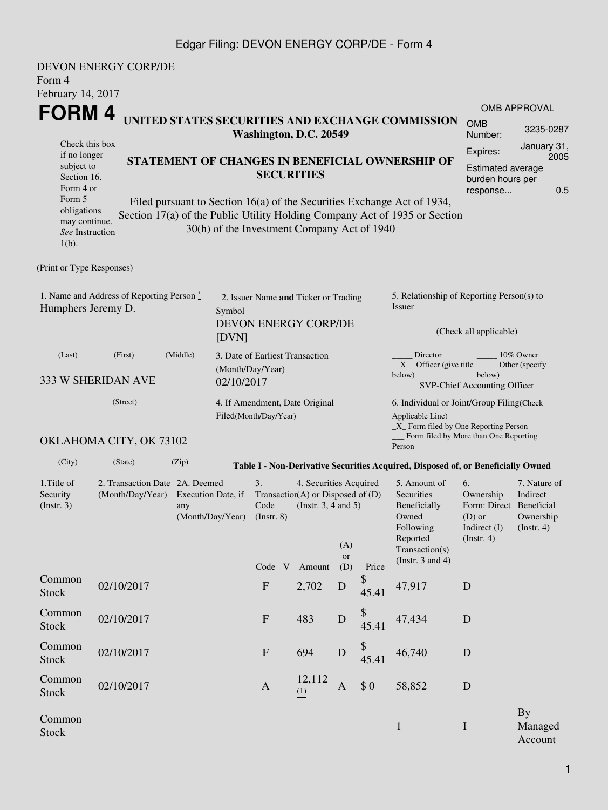## Edgar Filing: DEVON ENERGY CORP/DE - Form 4

| Form 4<br>February 14, 2017                                                                                                                       | <b>DEVON ENERGY CORP/DE</b>               |                                                                                 |                                |                                             |                                                                                                                                                                                                          |                                                                                                    |                                                               |                                                                                                                                                              |                                                                                            |                                                           |
|---------------------------------------------------------------------------------------------------------------------------------------------------|-------------------------------------------|---------------------------------------------------------------------------------|--------------------------------|---------------------------------------------|----------------------------------------------------------------------------------------------------------------------------------------------------------------------------------------------------------|----------------------------------------------------------------------------------------------------|---------------------------------------------------------------|--------------------------------------------------------------------------------------------------------------------------------------------------------------|--------------------------------------------------------------------------------------------|-----------------------------------------------------------|
| FORM 4                                                                                                                                            |                                           |                                                                                 |                                |                                             | Washington, D.C. 20549                                                                                                                                                                                   |                                                                                                    |                                                               | UNITED STATES SECURITIES AND EXCHANGE COMMISSION                                                                                                             | <b>OMB</b><br>Number:                                                                      | <b>OMB APPROVAL</b><br>3235-0287                          |
| Check this box<br>if no longer<br>subject to<br>Section 16.<br>Form 4 or<br>Form 5<br>obligations<br>may continue.<br>See Instruction<br>$1(b)$ . |                                           |                                                                                 | <b>SECURITIES</b>              | 30(h) of the Investment Company Act of 1940 | STATEMENT OF CHANGES IN BENEFICIAL OWNERSHIP OF<br>Filed pursuant to Section 16(a) of the Securities Exchange Act of 1934,<br>Section 17(a) of the Public Utility Holding Company Act of 1935 or Section | January 31,<br>Expires:<br>2005<br><b>Estimated average</b><br>burden hours per<br>0.5<br>response |                                                               |                                                                                                                                                              |                                                                                            |                                                           |
| (Print or Type Responses)                                                                                                                         |                                           |                                                                                 |                                |                                             |                                                                                                                                                                                                          |                                                                                                    |                                                               |                                                                                                                                                              |                                                                                            |                                                           |
| Humphers Jeremy D.                                                                                                                                | 1. Name and Address of Reporting Person * |                                                                                 | Symbol<br>[DVN]                |                                             | 2. Issuer Name and Ticker or Trading<br>DEVON ENERGY CORP/DE                                                                                                                                             |                                                                                                    |                                                               | 5. Relationship of Reporting Person(s) to<br>Issuer                                                                                                          | (Check all applicable)                                                                     |                                                           |
| (Last)                                                                                                                                            | (First)<br>333 W SHERIDAN AVE             | (Middle)                                                                        | (Month/Day/Year)<br>02/10/2017 | 3. Date of Earliest Transaction             |                                                                                                                                                                                                          |                                                                                                    |                                                               | Director<br>$X$ Officer (give title $\overline{\phantom{a}}$<br>below)                                                                                       | below)<br>SVP-Chief Accounting Officer                                                     | 10% Owner<br>Other (specify)                              |
|                                                                                                                                                   | (Street)<br>OKLAHOMA CITY, OK 73102       |                                                                                 |                                | Filed(Month/Day/Year)                       | 4. If Amendment, Date Original                                                                                                                                                                           |                                                                                                    |                                                               | 6. Individual or Joint/Group Filing(Check<br>Applicable Line)<br>$\_X$ Form filed by One Reporting Person<br>Form filed by More than One Reporting<br>Person |                                                                                            |                                                           |
| (City)                                                                                                                                            | (State)                                   | (Zip)                                                                           |                                |                                             |                                                                                                                                                                                                          |                                                                                                    |                                                               | Table I - Non-Derivative Securities Acquired, Disposed of, or Beneficially Owned                                                                             |                                                                                            |                                                           |
| 1. Title of<br>Security<br>(Insert. 3)                                                                                                            | (Month/Day/Year)                          | 2. Transaction Date 2A. Deemed<br>Execution Date, if<br>any<br>(Month/Day/Year) |                                |                                             |                                                                                                                                                                                                          | (Instr. $3, 4$ and $5$ )<br>(A)<br><b>or</b>                                                       | 4. Securities Acquired<br>Transaction(A) or Disposed of $(D)$ | 5. Amount of<br>Securities<br>Beneficially<br>Owned<br>Following<br>Reported<br>Transaction(s)                                                               | 6.<br>Ownership<br>Form: Direct Beneficial<br>$(D)$ or<br>Indirect (I)<br>$($ Instr. 4 $)$ | 7. Nature of<br>Indirect<br>Ownership<br>$($ Instr. 4 $)$ |
| Common<br><b>Stock</b>                                                                                                                            | 02/10/2017                                |                                                                                 |                                | Code V<br>$\boldsymbol{\mathrm{F}}$         | Amount<br>2,702                                                                                                                                                                                          | (D)<br>$\mathbf D$                                                                                 | Price<br>\$<br>45.41                                          | (Instr. $3$ and $4$ )<br>47,917                                                                                                                              | D                                                                                          |                                                           |
| Common<br><b>Stock</b>                                                                                                                            | 02/10/2017                                |                                                                                 |                                | ${\bf F}$                                   | 483                                                                                                                                                                                                      | $\mathbf D$                                                                                        | \$<br>45.41                                                   | 47,434                                                                                                                                                       | $\mathbf D$                                                                                |                                                           |
| Common<br><b>Stock</b>                                                                                                                            | 02/10/2017                                |                                                                                 |                                | $\mathbf{F}$                                | 694                                                                                                                                                                                                      | $\mathbf D$                                                                                        | $$$<br>45.41                                                  | 46,740                                                                                                                                                       | D                                                                                          |                                                           |
| Common<br>Stock                                                                                                                                   | 02/10/2017                                |                                                                                 |                                | $\mathbf{A}$                                | 12,112<br>(1)                                                                                                                                                                                            | A                                                                                                  | \$0                                                           | 58,852                                                                                                                                                       | D                                                                                          |                                                           |
| Common<br><b>Stock</b>                                                                                                                            |                                           |                                                                                 |                                |                                             |                                                                                                                                                                                                          |                                                                                                    |                                                               | $\mathbf{1}$                                                                                                                                                 | $\mathbf I$                                                                                | <b>By</b><br>Managed<br>Account                           |